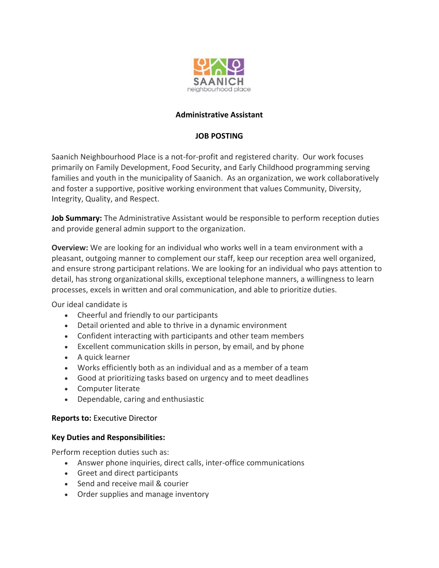

# **Administrative Assistant**

# **JOB POSTING**

Saanich Neighbourhood Place is a not-for-profit and registered charity. Our work focuses primarily on Family Development, Food Security, and Early Childhood programming serving families and youth in the municipality of Saanich. As an organization, we work collaboratively and foster a supportive, positive working environment that values Community, Diversity, Integrity, Quality, and Respect.

**Job Summary:** The Administrative Assistant would be responsible to perform reception duties and provide general admin support to the organization.

**Overview:** We are looking for an individual who works well in a team environment with a pleasant, outgoing manner to complement our staff, keep our reception area well organized, and ensure strong participant relations. We are looking for an individual who pays attention to detail, has strong organizational skills, exceptional telephone manners, a willingness to learn processes, excels in written and oral communication, and able to prioritize duties.

Our ideal candidate is

- Cheerful and friendly to our participants
- Detail oriented and able to thrive in a dynamic environment
- Confident interacting with participants and other team members
- Excellent communication skills in person, by email, and by phone
- A quick learner
- Works efficiently both as an individual and as a member of a team
- Good at prioritizing tasks based on urgency and to meet deadlines
- Computer literate
- Dependable, caring and enthusiastic

### **Reports to:** Executive Director

#### **Key Duties and Responsibilities:**

Perform reception duties such as:

- Answer phone inquiries, direct calls, inter-office communications
- Greet and direct participants
- Send and receive mail & courier
- Order supplies and manage inventory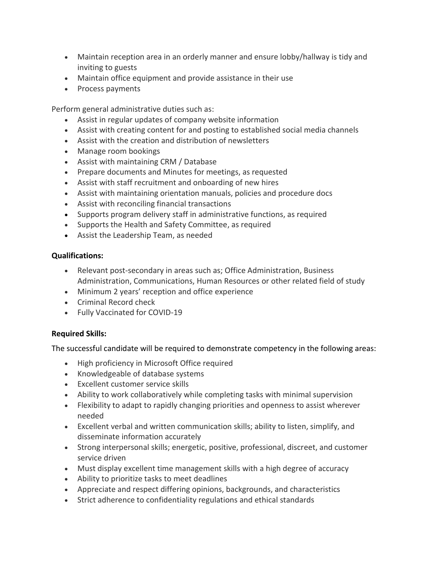- Maintain reception area in an orderly manner and ensure lobby/hallway is tidy and inviting to guests
- Maintain office equipment and provide assistance in their use
- Process payments

Perform general administrative duties such as:

- Assist in regular updates of company website information
- Assist with creating content for and posting to established social media channels
- Assist with the creation and distribution of newsletters
- Manage room bookings
- Assist with maintaining CRM / Database
- Prepare documents and Minutes for meetings, as requested
- Assist with staff recruitment and onboarding of new hires
- Assist with maintaining orientation manuals, policies and procedure docs
- Assist with reconciling financial transactions
- Supports program delivery staff in administrative functions, as required
- Supports the Health and Safety Committee, as required
- Assist the Leadership Team, as needed

### **Qualifications:**

- Relevant post-secondary in areas such as; Office Administration, Business Administration, Communications, Human Resources or other related field of study
- Minimum 2 years' reception and office experience
- Criminal Record check
- Fully Vaccinated for COVID-19

### **Required Skills:**

The successful candidate will be required to demonstrate competency in the following areas:

- High proficiency in Microsoft Office required
- Knowledgeable of database systems
- Excellent customer service skills
- Ability to work collaboratively while completing tasks with minimal supervision
- Flexibility to adapt to rapidly changing priorities and openness to assist wherever needed
- Excellent verbal and written communication skills; ability to listen, simplify, and disseminate information accurately
- Strong interpersonal skills; energetic, positive, professional, discreet, and customer service driven
- Must display excellent time management skills with a high degree of accuracy
- Ability to prioritize tasks to meet deadlines
- Appreciate and respect differing opinions, backgrounds, and characteristics
- Strict adherence to confidentiality regulations and ethical standards